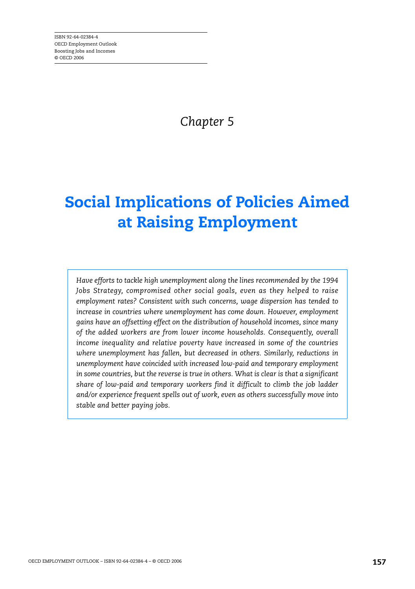*Chapter 5* 

# **Social Implications of Policies Aimed at Raising Employment**

*Have efforts to tackle high unemployment along the lines recommended by the 1994 Jobs Strategy, compromised other social goals, even as they helped to raise employment rates? Consistent with such concerns, wage dispersion has tended to increase in countries where unemployment has come down. However, employment gains have an offsetting effect on the distribution of household incomes, since many of the added workers are from lower income households. Consequently, overall income inequality and relative poverty have increased in some of the countries where unemployment has fallen, but decreased in others. Similarly, reductions in unemployment have coincided with increased low-paid and temporary employment in some countries, but the reverse is true in others. What is clear is that a significant share of low-paid and temporary workers find it difficult to climb the job ladder and/or experience frequent spells out of work, even as others successfully move into stable and better paying jobs.*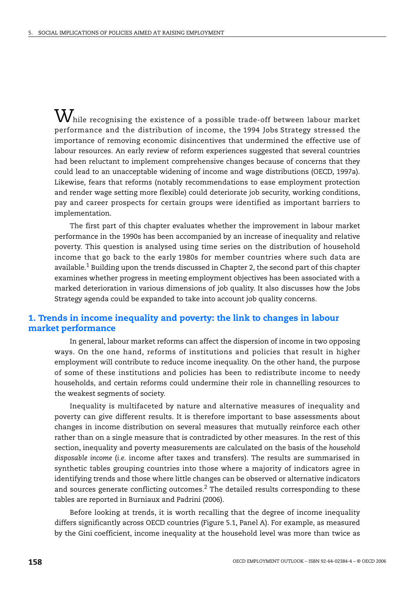While recognising the existence of a possible trade-off between labour market performance and the distribution of income, the 1994 Jobs Strategy stressed the importance of removing economic disincentives that undermined the effective use of labour resources. An early review of reform experiences suggested that several countries had been reluctant to implement comprehensive changes because of concerns that they could lead to an unacceptable widening of income and wage distributions (OECD, 1997a). Likewise, fears that reforms (notably recommendations to ease employment protection and render wage setting more flexible) could deteriorate job security, working conditions, pay and career prospects for certain groups were identified as important barriers to implementation.

The first part of this chapter evaluates whether the improvement in labour market performance in the 1990s has been accompanied by an increase of inequality and relative poverty. This question is analysed using time series on the distribution of household income that go back to the early 1980s for member countries where such data are available.<sup>1</sup> Building upon the trends discussed in Chapter 2, the second part of this chapter examines whether progress in meeting employment objectives has been associated with a marked deterioration in various dimensions of job quality. It also discusses how the Jobs Strategy agenda could be expanded to take into account job quality concerns.

# **1. Trends in income inequality and poverty: the link to changes in labour market performance**

In general, labour market reforms can affect the dispersion of income in two opposing ways. On the one hand, reforms of institutions and policies that result in higher employment will contribute to reduce income inequality. On the other hand, the purpose of some of these institutions and policies has been to redistribute income to needy households, and certain reforms could undermine their role in channelling resources to the weakest segments of society.

Inequality is multifaceted by nature and alternative measures of inequality and poverty can give different results. It is therefore important to base assessments about changes in income distribution on several measures that mutually reinforce each other rather than on a single measure that is contradicted by other measures. In the rest of this section, inequality and poverty measurements are calculated on the basis of the *household disposable income* (*i.e.* income after taxes and transfers). The results are summarised in synthetic tables grouping countries into those where a majority of indicators agree in identifying trends and those where little changes can be observed or alternative indicators and sources generate conflicting outcomes.<sup>2</sup> The detailed results corresponding to these tables are reported in Burniaux and Padrini (2006).

Before looking at trends, it is worth recalling that the degree of income inequality differs significantly across OECD countries (Figure 5.1, Panel A). For example, as measured by the Gini coefficient, income inequality at the household level was more than twice as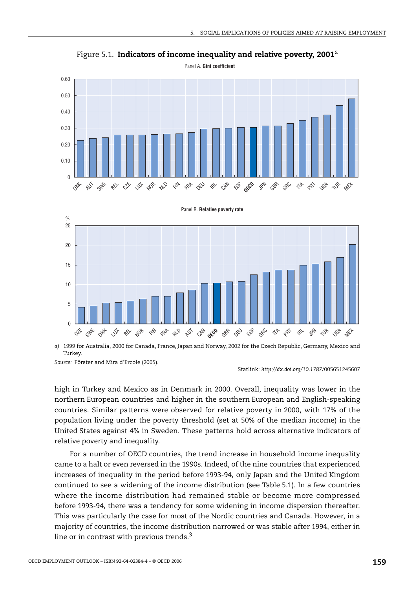

Figure 5.1. **Indicators of income inequality and relative poverty, 2001***<sup>a</sup>*



*a)* 1999 for Australia, 2000 for Canada, France, Japan and Norway, 2002 for the Czech Republic, Germany, Mexico and Turkey.

*Source:* Förster and Mira d'Ercole (2005).

Statlink: *http://dx.doi.org/10.1787/*005651245607

high in Turkey and Mexico as in Denmark in 2000. Overall, inequality was lower in the northern European countries and higher in the southern European and English-speaking countries. Similar patterns were observed for relative poverty in 2000, with 17% of the population living under the poverty threshold (set at 50% of the median income) in the United States against 4% in Sweden. These patterns hold across alternative indicators of relative poverty and inequality.

For a number of OECD countries, the trend increase in household income inequality came to a halt or even reversed in the 1990s. Indeed, of the nine countries that experienced increases of inequality in the period before 1993-94, only Japan and the United Kingdom continued to see a widening of the income distribution (see Table 5.1). In a few countries where the income distribution had remained stable or become more compressed before 1993-94, there was a tendency for some widening in income dispersion thereafter. This was particularly the case for most of the Nordic countries and Canada. However, in a majority of countries, the income distribution narrowed or was stable after 1994, either in line or in contrast with previous trends.<sup>3</sup>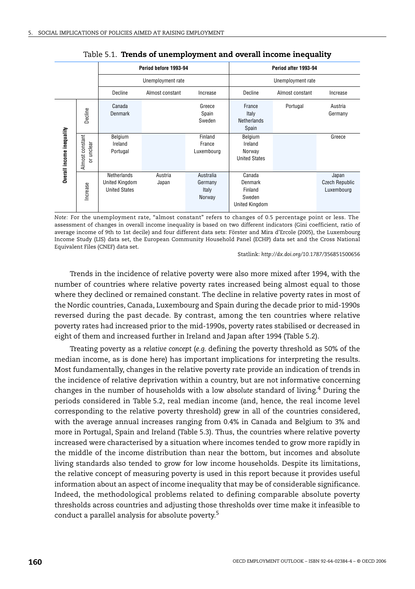|                           |                               |                                                              | Period before 1993-94 |                                         | Period after 1993-94                                     |                 |                                              |  |
|---------------------------|-------------------------------|--------------------------------------------------------------|-----------------------|-----------------------------------------|----------------------------------------------------------|-----------------|----------------------------------------------|--|
|                           |                               |                                                              | Unemployment rate     |                                         | Unemployment rate                                        |                 |                                              |  |
|                           |                               | Decline                                                      | Almost constant       | Increase                                | Decline                                                  | Almost constant | Increase                                     |  |
|                           | Decline                       | Canada<br>Denmark                                            |                       | Greece<br>Spain<br>Sweden               | France<br>Italy<br><b>Netherlands</b><br>Spain           | Portugal        | Austria<br>Germany                           |  |
| Overall income inequality | Almost constant<br>or unclear | Belgium<br>Ireland<br>Portugal                               |                       | Finland<br>France<br>Luxembourg         | Belgium<br>Ireland<br>Norway<br><b>United States</b>     |                 | Greece                                       |  |
|                           | ncrease                       | Netherlands<br><b>United Kingdom</b><br><b>United States</b> | Austria<br>Japan      | Australia<br>Germany<br>Italy<br>Norway | Canada<br>Denmark<br>Finland<br>Sweden<br>United Kingdom |                 | Japan<br><b>Czech Republic</b><br>Luxembourg |  |

Table 5.1. **Trends of unemployment and overall income inequality**

*Note:* For the unemployment rate, "almost constant" refers to changes of 0.5 percentage point or less. The assessment of changes in overall income inequality is based on two different indicators (Gini coefficient, ratio of average income of 9th to 1st decile) and four different data sets: Förster and Mira d'Ercole (2005), the Luxembourg Income Study (LIS) data set, the European Community Household Panel (ECHP) data set and the Cross National Equivalent Files (CNEF) data set.

Statlink: *http://dx.doi.org/10.1787/*356851500656

Trends in the incidence of relative poverty were also more mixed after 1994, with the number of countries where relative poverty rates increased being almost equal to those where they declined or remained constant. The decline in relative poverty rates in most of the Nordic countries, Canada, Luxembourg and Spain during the decade prior to mid-1990s reversed during the past decade. By contrast, among the ten countries where relative poverty rates had increased prior to the mid-1990s, poverty rates stabilised or decreased in eight of them and increased further in Ireland and Japan after 1994 (Table 5.2).

Treating poverty as a *relative concept* (*e.g.* defining the poverty threshold as 50% of the median income, as is done here) has important implications for interpreting the results. Most fundamentally, changes in the relative poverty rate provide an indication of trends in the incidence of relative deprivation within a country, but are not informative concerning changes in the number of households with a low *absolute* standard of living.4 During the periods considered in Table 5.2, real median income (and, hence, the real income level corresponding to the relative poverty threshold) grew in all of the countries considered, with the average annual increases ranging from 0.4% in Canada and Belgium to 3% and more in Portugal, Spain and Ireland (Table 5.3). Thus, the countries where relative poverty increased were characterised by a situation where incomes tended to grow more rapidly in the middle of the income distribution than near the bottom, but incomes and absolute living standards also tended to grow for low income households. Despite its limitations, the relative concept of measuring poverty is used in this report because it provides useful information about an aspect of income inequality that may be of considerable significance. Indeed, the methodological problems related to defining comparable absolute poverty thresholds across countries and adjusting those thresholds over time make it infeasible to conduct a parallel analysis for absolute poverty.<sup>5</sup>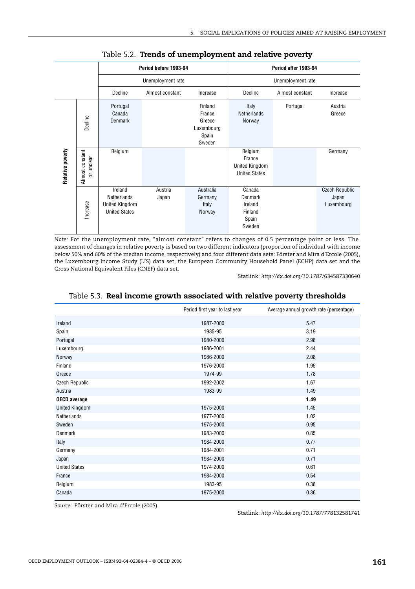|                  |                               |                                                                  | Period before 1993-94 |                                                              | Period after 1993-94                                               |                 |                                              |  |
|------------------|-------------------------------|------------------------------------------------------------------|-----------------------|--------------------------------------------------------------|--------------------------------------------------------------------|-----------------|----------------------------------------------|--|
|                  |                               |                                                                  | Unemployment rate     |                                                              | Unemployment rate                                                  |                 |                                              |  |
|                  |                               | Decline                                                          | Almost constant       | Increase                                                     | Decline                                                            | Almost constant | Increase                                     |  |
|                  | Decline                       | Portugal<br>Canada<br>Denmark                                    |                       | Finland<br>France<br>Greece<br>Luxembourg<br>Spain<br>Sweden | Italy<br><b>Netherlands</b><br>Norway                              | Portugal        | Austria<br>Greece                            |  |
| Relative poverty | Almost constant<br>or unclear | Belgium                                                          |                       |                                                              | Belgium<br>France<br><b>United Kingdom</b><br><b>United States</b> |                 | Germany                                      |  |
|                  | Increase                      | Ireland<br>Netherlands<br>United Kingdom<br><b>United States</b> | Austria<br>Japan      | Australia<br>Germany<br>Italy<br>Norway                      | Canada<br>Denmark<br>Ireland<br>Finland<br>Spain<br>Sweden         |                 | <b>Czech Republic</b><br>Japan<br>Luxembourg |  |

Table 5.2. **Trends of unemployment and relative poverty**

*Note:* For the unemployment rate, "almost constant" refers to changes of 0.5 percentage point or less. The assessment of changes in relative poverty is based on two different indicators (proportion of individual with income below 50% and 60% of the median income, respectively) and four different data sets: Förster and Mira d'Ercole (2005), the Luxembourg Income Study (LIS) data set, the European Community Household Panel (ECHP) data set and the Cross National Equivalent Files (CNEF) data set.

Statlink: *http://dx.doi.org/10.1787/*634587330640

|                       | Period first year to last year | Average annual growth rate (percentage) |
|-----------------------|--------------------------------|-----------------------------------------|
| Ireland               | 1987-2000                      | 5.47                                    |
| Spain                 | 1985-95                        | 3.19                                    |
| Portugal              | 1980-2000                      | 2.98                                    |
| Luxembourg            | 1986-2001                      | 2.44                                    |
| Norway                | 1986-2000                      | 2.08                                    |
| Finland               | 1976-2000                      | 1.95                                    |
| Greece                | 1974-99                        | 1.78                                    |
| <b>Czech Republic</b> | 1992-2002                      | 1.67                                    |
| Austria               | 1983-99                        | 1.49                                    |
| <b>OECD</b> average   |                                | 1.49                                    |
| <b>United Kingdom</b> | 1975-2000                      | 1.45                                    |
| <b>Netherlands</b>    | 1977-2000                      | 1.02                                    |
| Sweden                | 1975-2000                      | 0.95                                    |
| Denmark               | 1983-2000                      | 0.85                                    |
| Italy                 | 1984-2000                      | 0.77                                    |
| Germany               | 1984-2001                      | 0.71                                    |
| Japan                 | 1984-2000                      | 0.71                                    |
| <b>United States</b>  | 1974-2000                      | 0.61                                    |
| France                | 1984-2000                      | 0.54                                    |
| Belgium               | 1983-95                        | 0.38                                    |
| Canada                | 1975-2000                      | 0.36                                    |

### Table 5.3. **Real income growth associated with relative poverty thresholds**

*Source:* Förster and Mira d'Ercole (2005).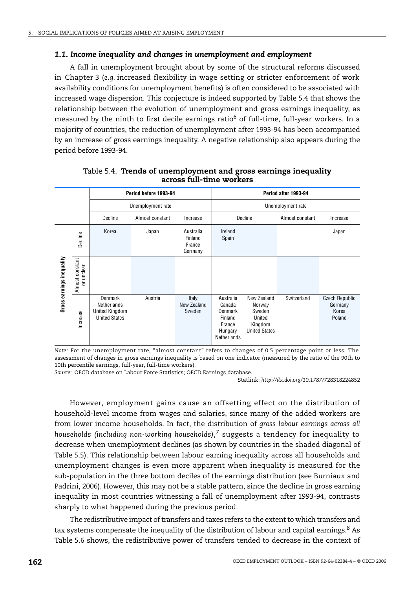# *1.1. Income inequality and changes in unemployment and employment*

A fall in unemployment brought about by some of the structural reforms discussed in Chapter 3 (*e.g.* increased flexibility in wage setting or stricter enforcement of work availability conditions for unemployment benefits) is often considered to be associated with increased wage dispersion. This conjecture is indeed supported by Table 5.4 that shows the relationship between the evolution of unemployment and gross earnings inequality, as measured by the ninth to first decile earnings ratio<sup>6</sup> of full-time, full-year workers. In a majority of countries, the reduction of unemployment after 1993-94 has been accompanied by an increase of gross earnings inequality. A negative relationship also appears during the period before 1993-94.

|                           | Period before 1993-94            |                                                                  |                   | Period after 1993-94                      |                                                                               |                                                                              |                 |                                                     |  |
|---------------------------|----------------------------------|------------------------------------------------------------------|-------------------|-------------------------------------------|-------------------------------------------------------------------------------|------------------------------------------------------------------------------|-----------------|-----------------------------------------------------|--|
|                           |                                  |                                                                  | Unemployment rate |                                           |                                                                               | Unemployment rate                                                            |                 |                                                     |  |
|                           |                                  | Decline                                                          | Almost constant   | Increase                                  |                                                                               | Decline                                                                      | Almost constant | Increase                                            |  |
|                           | Decline                          | Korea                                                            | Japan             | Australia<br>Finland<br>France<br>Germany | Ireland<br>Spain                                                              |                                                                              |                 | Japan                                               |  |
| Gross earnings inequality | constant<br>or unclear<br>Almost |                                                                  |                   |                                           |                                                                               |                                                                              |                 |                                                     |  |
|                           | Increase                         | Denmark<br>Netherlands<br>United Kingdom<br><b>United States</b> | Austria           | Italy<br>New Zealand<br>Sweden            | Australia<br>Canada<br>Denmark<br>Finland<br>France<br>Hungary<br>Netherlands | New Zealand<br>Norway<br>Sweden<br>United<br>Kingdom<br><b>United States</b> | Switzerland     | <b>Czech Republic</b><br>Germany<br>Korea<br>Poland |  |

# Table 5.4. **Trends of unemployment and gross earnings inequality across full-time workers**

*Note:* For the unemployment rate, "almost constant" refers to changes of 0.5 percentage point or less. The assessment of changes in gross earnings inequality is based on one indicator (measured by the ratio of the 90th to 10th percentile earnings, full-year, full-time workers).

*Source:* OECD database on Labour Force Statistics; OECD Earnings database.

Statlink: *http://dx.doi.org/10.1787/*728318224852

However, employment gains cause an offsetting effect on the distribution of household-level income from wages and salaries, since many of the added workers are from lower income households. In fact, the distribution of *gross labour earnings across all households (including non-working households)*, 7 suggests a tendency for inequality to decrease when unemployment declines (as shown by countries in the shaded diagonal of Table 5.5). This relationship between labour earning inequality across all households and unemployment changes is even more apparent when inequality is measured for the sub-population in the three bottom deciles of the earnings distribution (see Burniaux and Padrini, 2006). However, this may not be a stable pattern, since the decline in gross earning inequality in most countries witnessing a fall of unemployment after 1993-94, contrasts sharply to what happened during the previous period.

The redistributive impact of transfers and taxes refers to the extent to which transfers and tax systems compensate the inequality of the distribution of labour and capital earnings.<sup>8</sup> As Table 5.6 shows, the redistributive power of transfers tended to decrease in the context of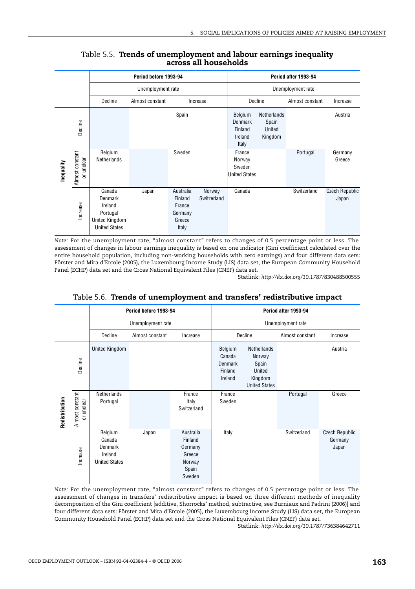|            |                               | Period before 1993-94                                                              |                             |                                                              |                       | Period after 1993-94                                        |                                                  |                   |                                |
|------------|-------------------------------|------------------------------------------------------------------------------------|-----------------------------|--------------------------------------------------------------|-----------------------|-------------------------------------------------------------|--------------------------------------------------|-------------------|--------------------------------|
|            |                               | Unemployment rate                                                                  |                             |                                                              |                       |                                                             |                                                  | Unemployment rate |                                |
|            |                               | Decline                                                                            | Almost constant<br>Increase |                                                              | Decline               |                                                             | Almost constant                                  | Increase          |                                |
|            | Decline                       | Belgium                                                                            |                             | Spain<br>Sweden                                              |                       | Belgium<br>Denmark<br>Finland<br>Ireland<br>Italy<br>France | <b>Netherlands</b><br>Spain<br>United<br>Kingdom | Portugal          | Austria<br>Germany             |
| Inequality | Almost constant<br>or unclear | Netherlands                                                                        |                             |                                                              |                       | Norway<br>Sweden<br><b>United States</b>                    |                                                  |                   | Greece                         |
|            | Increase                      | Canada<br>Denmark<br>Ireland<br>Portugal<br>United Kingdom<br><b>United States</b> | Japan                       | Australia<br>Finland<br>France<br>Germany<br>Greece<br>Italy | Norway<br>Switzerland | Canada                                                      |                                                  | Switzerland       | <b>Czech Republic</b><br>Japan |

# Table 5.5. **Trends of unemployment and labour earnings inequality across all households**

*Note:* For the unemployment rate, "almost constant" refers to changes of 0.5 percentage point or less. The assessment of changes in labour earnings inequality is based on one indicator (Gini coefficient calculated over the entire household population, including non-working households with zero earnings) and four different data sets: Förster and Mira d'Ercole (2005), the Luxembourg Income Study (LIS) data set, the European Community Household Panel (ECHP) data set and the Cross National Equivalent Files (CNEF) data set.

Statlink: *http://dx.doi.org/10.1787/*830488500555

# Table 5.6. **Trends of unemployment and transfers' redistributive impact**

|                |                               | Period before 1993-94                                                  |                 |                                                                        | Period after 1993-94                               |                                                                                    |                 |                                           |
|----------------|-------------------------------|------------------------------------------------------------------------|-----------------|------------------------------------------------------------------------|----------------------------------------------------|------------------------------------------------------------------------------------|-----------------|-------------------------------------------|
|                |                               | Unemployment rate                                                      |                 |                                                                        | Unemployment rate                                  |                                                                                    |                 |                                           |
|                |                               | Decline                                                                | Almost constant | Increase                                                               |                                                    | Decline                                                                            | Almost constant | Increase                                  |
|                | Decline                       | <b>United Kingdom</b>                                                  |                 |                                                                        | Belgium<br>Canada<br>Denmark<br>Finland<br>Ireland | <b>Netherlands</b><br>Norway<br>Spain<br>United<br>Kingdom<br><b>United States</b> |                 | Austria                                   |
| Redistribution | Almost constant<br>or unclear | Netherlands<br>Portugal                                                |                 | France<br>Italy<br>Switzerland                                         | France<br>Sweden                                   |                                                                                    | Portugal        | Greece                                    |
|                | Increase                      | Belgium<br>Canada<br><b>Denmark</b><br>Ireland<br><b>United States</b> | Japan           | Australia<br>Finland<br>Germany<br>Greece<br>Norway<br>Spain<br>Sweden | Italy                                              |                                                                                    | Switzerland     | <b>Czech Republic</b><br>Germany<br>Japan |

*Note:* For the unemployment rate, "almost constant" refers to changes of 0.5 percentage point or less. The assessment of changes in transfers' redistributive impact is based on three different methods of inequality decomposition of the Gini coefficient [additive, Shorrocks' method, subtractive, see Burniaux and Padrini (2006)] and four different data sets: Förster and Mira d'Ercole (2005), the Luxembourg Income Study (LIS) data set, the European Community Household Panel (ECHP) data set and the Cross National Equivalent Files (CNEF) data set.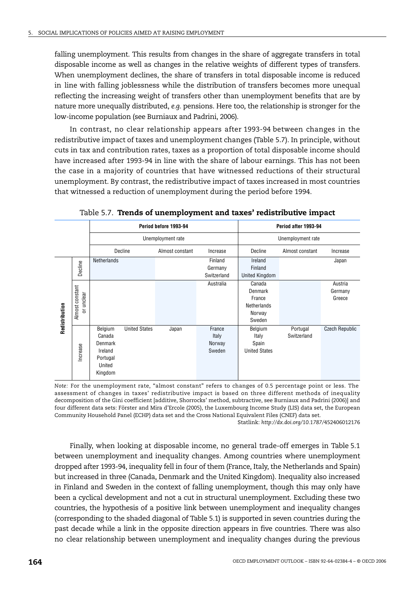falling unemployment. This results from changes in the share of aggregate transfers in total disposable income as well as changes in the relative weights of different types of transfers. When unemployment declines, the share of transfers in total disposable income is reduced in line with falling joblessness while the distribution of transfers becomes more unequal reflecting the increasing weight of transfers other than unemployment benefits that are by nature more unequally distributed, *e.g.* pensions. Here too, the relationship is stronger for the low-income population (see Burniaux and Padrini, 2006).

In contrast, no clear relationship appears after 1993-94 between changes in the redistributive impact of taxes and unemployment changes (Table 5.7). In principle, without cuts in tax and contribution rates, taxes as a proportion of total disposable income should have increased after 1993-94 in line with the share of labour earnings. This has not been the case in a majority of countries that have witnessed reductions of their structural unemployment. By contrast, the redistributive impact of taxes increased in most countries that witnessed a reduction of unemployment during the period before 1994.

|                |                               | Period before 1993-94                                                                            | Period after 1993-94 |                                     |                                                                |                         |                              |  |
|----------------|-------------------------------|--------------------------------------------------------------------------------------------------|----------------------|-------------------------------------|----------------------------------------------------------------|-------------------------|------------------------------|--|
|                |                               |                                                                                                  | Unemployment rate    |                                     | Unemployment rate                                              |                         |                              |  |
|                |                               | Decline                                                                                          | Almost constant      | Increase                            | Decline                                                        | Almost constant         | Increase                     |  |
|                | Decline                       | <b>Netherlands</b>                                                                               |                      | Finland<br>Germany<br>Switzerland   | Ireland<br>Finland<br><b>United Kingdom</b>                    |                         | Japan                        |  |
| Redistribution | Almost constant<br>or unclear |                                                                                                  |                      | Australia                           | Canada<br>Denmark<br>France<br>Netherlands<br>Norway<br>Sweden |                         | Austria<br>Germany<br>Greece |  |
|                | Increase                      | Belgium<br><b>United States</b><br>Canada<br>Denmark<br>Ireland<br>Portugal<br>United<br>Kingdom | Japan                | France<br>Italy<br>Norway<br>Sweden | Belgium<br>Italy<br>Spain<br><b>United States</b>              | Portugal<br>Switzerland | <b>Czech Republic</b>        |  |

Table 5.7. **Trends of unemployment and taxes' redistributive impact**

*Note:* For the unemployment rate, "almost constant" refers to changes of 0.5 percentage point or less. The assessment of changes in taxes' redistributive impact is based on three different methods of inequality decomposition of the Gini coefficient [additive, Shorrocks' method, subtractive, see Burniaux and Padrini (2006)] and four different data sets: Förster and Mira d'Ercole (2005), the Luxembourg Income Study (LIS) data set, the European Community Household Panel (ECHP) data set and the Cross National Equivalent Files (CNEF) data set.

Statlink: *http://dx.doi.org/10.1787/*452406012176

Finally, when looking at disposable income, no general trade-off emerges in Table 5.1 between unemployment and inequality changes. Among countries where unemployment dropped after 1993-94, inequality fell in four of them (France, Italy, the Netherlands and Spain) but increased in three (Canada, Denmark and the United Kingdom). Inequality also increased in Finland and Sweden in the context of falling unemployment, though this may only have been a cyclical development and not a cut in structural unemployment. Excluding these two countries, the hypothesis of a positive link between unemployment and inequality changes (corresponding to the shaded diagonal of Table 5.1) is supported in seven countries during the past decade while a link in the opposite direction appears in five countries. There was also no clear relationship between unemployment and inequality changes during the previous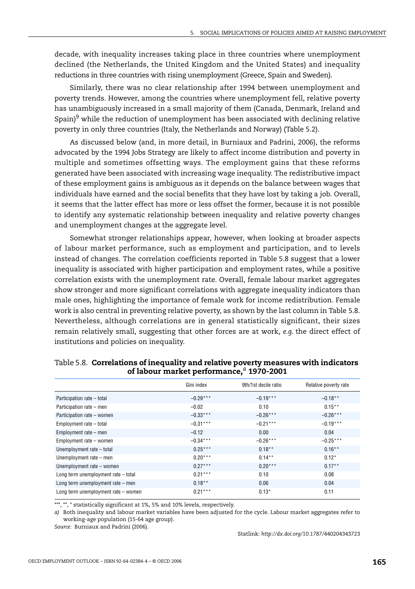decade, with inequality increases taking place in three countries where unemployment declined (the Netherlands, the United Kingdom and the United States) and inequality reductions in three countries with rising unemployment (Greece, Spain and Sweden).

Similarly, there was no clear relationship after 1994 between unemployment and poverty trends. However, among the countries where unemployment fell, relative poverty has unambiguously increased in a small majority of them (Canada, Denmark, Ireland and Spain) $9$  while the reduction of unemployment has been associated with declining relative poverty in only three countries (Italy, the Netherlands and Norway) (Table 5.2).

As discussed below (and, in more detail, in Burniaux and Padrini, 2006), the reforms advocated by the 1994 Jobs Strategy are likely to affect income distribution and poverty in multiple and sometimes offsetting ways. The employment gains that these reforms generated have been associated with increasing wage inequality. The redistributive impact of these employment gains is ambiguous as it depends on the balance between wages that individuals have earned and the social benefits that they have lost by taking a job. Overall, it seems that the latter effect has more or less offset the former, because it is not possible to identify any systematic relationship between inequality and relative poverty changes and unemployment changes at the aggregate level.

Somewhat stronger relationships appear, however, when looking at broader aspects of labour market performance, such as employment and participation, and to levels instead of changes. The correlation coefficients reported in Table 5.8 suggest that a lower inequality is associated with higher participation and employment rates, while a positive correlation exists with the unemployment rate. Overall, female labour market aggregates show stronger and more significant correlations with aggregate inequality indicators than male ones, highlighting the importance of female work for income redistribution. Female work is also central in preventing relative poverty, as shown by the last column in Table 5.8. Nevertheless, although correlations are in general statistically significant, their sizes remain relatively small, suggesting that other forces are at work, *e.g.* the direct effect of institutions and policies on inequality.

|                                     | Gini index | 9th/1st decile ratio | Relative poverty rate |
|-------------------------------------|------------|----------------------|-----------------------|
| Participation rate - total          | $-0.29***$ | $-0.19***$           | $-0.18**$             |
| Participation rate – men            | $-0.02$    | 0.10                 | $0.15***$             |
| Participation rate – women          | $-0.33***$ | $-0.26***$           | $-0.26***$            |
| Employment rate - total             | $-0.31***$ | $-0.21***$           | $-0.19***$            |
| Employment rate – men               | $-0.12$    | 0.00                 | 0.04                  |
| Employment rate - women             | $-0.34***$ | $-0.26***$           | $-0.25***$            |
| Unemployment rate - total           | $0.25***$  | $0.18***$            | $0.16***$             |
| Unemployment rate - men             | $0.20***$  | $0.14***$            | $0.12*$               |
| Unemployment rate - women           | $0.27***$  | $0.20***$            | $0.17***$             |
| Long term unemployment rate - total | $0.21***$  | 0.10                 | 0.08                  |
| Long term unemployment rate $-$ men | $0.18***$  | 0.06                 | 0.04                  |
| Long term unemployment rate - women | $0.21***$  | $0.13*$              | 0.11                  |

Table 5.8. **Correlations of inequality and relative poverty measures with indicators of labour market performance,***a* **1970-2001**

\*\*\*, \*\*, \* statistically significant at 1%, 5% and 10% levels, respectively.

*a)* Both inequality and labour market variables have been adjusted for the cycle. Labour market aggregates refer to working-age population (15-64 age group).

*Source:* Burniaux and Padrini (2006).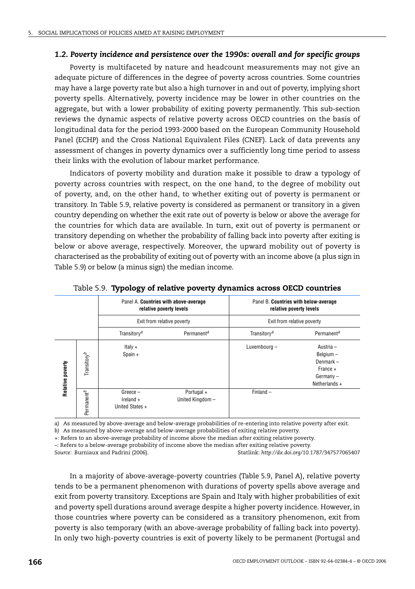# *1.2. Poverty incidence and persistence over the 1990s: overall and for specific groups*

Poverty is multifaceted by nature and headcount measurements may not give an adequate picture of differences in the degree of poverty across countries. Some countries may have a large poverty rate but also a high turnover in and out of poverty, implying short poverty spells. Alternatively, poverty incidence may be lower in other countries on the aggregate, but with a lower probability of exiting poverty permanently. This sub-section reviews the dynamic aspects of relative poverty across OECD countries on the basis of longitudinal data for the period 1993-2000 based on the European Community Household Panel (ECHP) and the Cross National Equivalent Files (CNEF). Lack of data prevents any assessment of changes in poverty dynamics over a sufficiently long time period to assess their links with the evolution of labour market performance.

Indicators of poverty mobility and duration make it possible to draw a typology of poverty across countries with respect, on the one hand, to the degree of mobility out of poverty, and, on the other hand, to whether exiting out of poverty is permanent or transitory. In Table 5.9, relative poverty is considered as permanent or transitory in a given country depending on whether the exit rate out of poverty is below or above the average for the countries for which data are available. In turn, exit out of poverty is permanent or transitory depending on whether the probability of falling back into poverty after exiting is below or above average, respectively. Moreover, the upward mobility out of poverty is characterised as the probability of exiting out of poverty with an income above (a plus sign in Table 5.9) or below (a minus sign) the median income.

|                  |                             |                                              | Panel A. Countries with above-average<br>relative poverty levels | Panel B. Countries with below-average<br>relative poverty levels |                                                                                  |  |  |
|------------------|-----------------------------|----------------------------------------------|------------------------------------------------------------------|------------------------------------------------------------------|----------------------------------------------------------------------------------|--|--|
|                  |                             |                                              | Exit from relative poverty                                       | Exit from relative poverty                                       |                                                                                  |  |  |
|                  |                             | Transitory <sup>a</sup>                      | Permanent <sup>a</sup>                                           | Transitory <sup>a</sup>                                          | Permanent <sup>a</sup>                                                           |  |  |
| Relative poverty | $\mathsf{T}$ ransitory $^b$ | Italy $+$<br>$S$ pain +                      |                                                                  | Luxembourg-                                                      | Austria -<br>Belgium-<br>Denmark $-$<br>France +<br>$Germany -$<br>Netherlands + |  |  |
|                  | Permanent $^b$              | $Greeze -$<br>Ireland $+$<br>United States + | Portugal +<br>United Kingdom-                                    | $Finaland -$                                                     |                                                                                  |  |  |

#### Table 5.9. **Typology of relative poverty dynamics across OECD countries**

*a)* As measured by above-average and below-average probabilities of re-entering into relative poverty after exit.

*b)* As measured by above-average and below-average probabilities of exiting relative poverty.

+: Refers to an above-average probability of income above the median after exiting relative poverty.

–: Refers to a below-average probability of income above the median after exiting relative poverty. *Source:* Burniaux and Padrini (2006). Statlink: *http://dx.doi.org/10.1787/*347577065407

In a majority of above-average-poverty countries (Table 5.9, Panel A), relative poverty tends to be a permanent phenomenon with durations of poverty spells above average and exit from poverty transitory. Exceptions are Spain and Italy with higher probabilities of exit and poverty spell durations around average despite a higher poverty incidence. However, in those countries where poverty can be considered as a transitory phenomenon, exit from poverty is also temporary (with an above-average probability of falling back into poverty). In only two high-poverty countries is exit of poverty likely to be permanent (Portugal and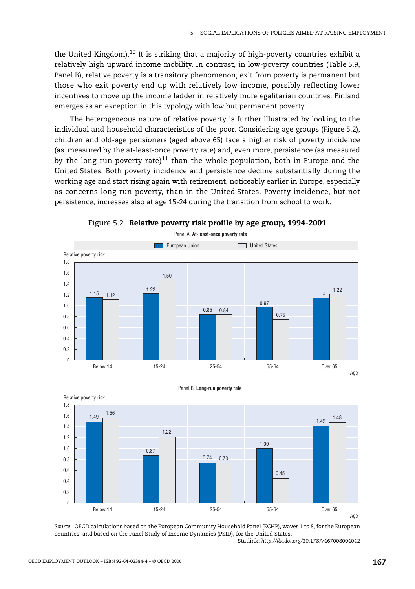the United Kingdom).<sup>10</sup> It is striking that a majority of high-poverty countries exhibit a relatively high upward income mobility. In contrast, in low-poverty countries (Table 5.9, Panel B), relative poverty is a transitory phenomenon, exit from poverty is permanent but those who exit poverty end up with relatively low income, possibly reflecting lower incentives to move up the income ladder in relatively more egalitarian countries. Finland emerges as an exception in this typology with low but permanent poverty.

The heterogeneous nature of relative poverty is further illustrated by looking to the individual and household characteristics of the poor. Considering age groups (Figure 5.2), children and old-age pensioners (aged above 65) face a higher risk of poverty incidence (as measured by the at-least-once poverty rate) and, even more, persistence (as measured by the long-run poverty rate)<sup>11</sup> than the whole population, both in Europe and the United States. Both poverty incidence and persistence decline substantially during the working age and start rising again with retirement, noticeably earlier in Europe, especially as concerns long-run poverty, than in the United States. Poverty incidence, but not persistence, increases also at age 15-24 during the transition from school to work.





0 0.2 0.4 0.6 0.8 1.0 1.2 1.4 1.6 1.8 Below 14 15-24 25-54 55-64 Over 65 Age Relative poverty risk 1.42 1.00 0.74 0.87  $1.49$   $1.48$ 0.45 0.73 1.22 1.56

Panel B. **Long-run poverty rate** 

*Source:* OECD calculations based on the European Community Household Panel (ECHP), waves 1 to 8, for the European countries; and based on the Panel Study of Income Dynamics (PSID), for the United States.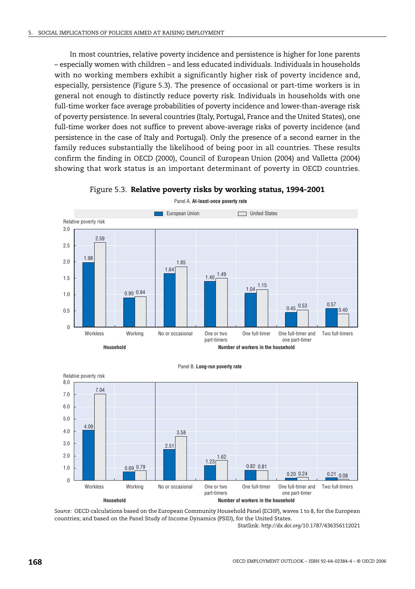In most countries, relative poverty incidence and persistence is higher for lone parents – especially women with children – and less educated individuals. Individuals in households with no working members exhibit a significantly higher risk of poverty incidence and, especially, persistence (Figure 5.3). The presence of occasional or part-time workers is in general not enough to distinctly reduce poverty risk. Individuals in households with one full-time worker face average probabilities of poverty incidence and lower-than-average risk of poverty persistence. In several countries (Italy, Portugal, France and the United States), one full-time worker does not suffice to prevent above-average risks of poverty incidence (and persistence in the case of Italy and Portugal). Only the presence of a second earner in the family reduces substantially the likelihood of being poor in all countries. These results confirm the finding in OECD (2000), Council of European Union (2004) and Valletta (2004) showing that work status is an important determinant of poverty in OECD countries.



Figure 5.3. **Relative poverty risks by working status, 1994-2001**



Panel B. **Long-run poverty rate** 

*Source:* OECD calculations based on the European Community Household Panel (ECHP), waves 1 to 8, for the European countries; and based on the Panel Study of Income Dynamics (PSID), for the United States.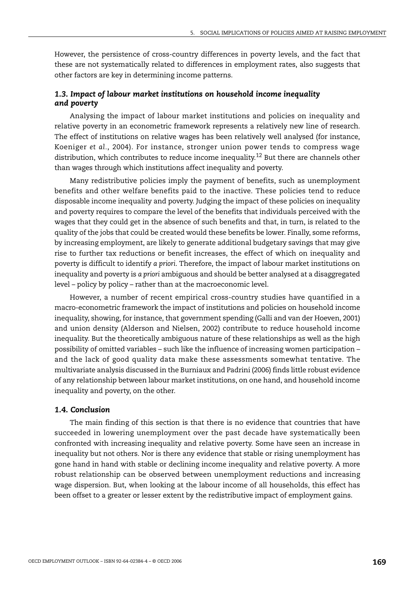However, the persistence of cross-country differences in poverty levels, and the fact that these are not systematically related to differences in employment rates, also suggests that other factors are key in determining income patterns.

# *1.3. Impact of labour market institutions on household income inequality and poverty*

Analysing the impact of labour market institutions and policies on inequality and relative poverty in an econometric framework represents a relatively new line of research. The effect of institutions on relative wages has been relatively well analysed (for instance, Koeniger *et al.*, 2004). For instance, stronger union power tends to compress wage distribution, which contributes to reduce income inequality.<sup>12</sup> But there are channels other than wages through which institutions affect inequality and poverty.

Many redistributive policies imply the payment of benefits, such as unemployment benefits and other welfare benefits paid to the inactive. These policies tend to reduce disposable income inequality and poverty. Judging the impact of these policies on inequality and poverty requires to compare the level of the benefits that individuals perceived with the wages that they could get in the absence of such benefits and that, in turn, is related to the quality of the jobs that could be created would these benefits be lower. Finally, some reforms, by increasing employment, are likely to generate additional budgetary savings that may give rise to further tax reductions or benefit increases, the effect of which on inequality and poverty is difficult to identify *a priori*. Therefore, the impact of labour market institutions on inequality and poverty is *a priori* ambiguous and should be better analysed at a disaggregated level – policy by policy – rather than at the macroeconomic level.

However, a number of recent empirical cross-country studies have quantified in a macro-econometric framework the impact of institutions and policies on household income inequality, showing, for instance, that government spending (Galli and van der Hoeven, 2001) and union density (Alderson and Nielsen, 2002) contribute to reduce household income inequality. But the theoretically ambiguous nature of these relationships as well as the high possibility of omitted variables – such like the influence of increasing women participation – and the lack of good quality data make these assessments somewhat tentative. The multivariate analysis discussed in the Burniaux and Padrini (2006) finds little robust evidence of any relationship between labour market institutions, on one hand, and household income inequality and poverty, on the other.

# *1.4. Conclusion*

The main finding of this section is that there is no evidence that countries that have succeeded in lowering unemployment over the past decade have systematically been confronted with increasing inequality and relative poverty. Some have seen an increase in inequality but not others. Nor is there any evidence that stable or rising unemployment has gone hand in hand with stable or declining income inequality and relative poverty. A more robust relationship can be observed between unemployment reductions and increasing wage dispersion. But, when looking at the labour income of all households, this effect has been offset to a greater or lesser extent by the redistributive impact of employment gains.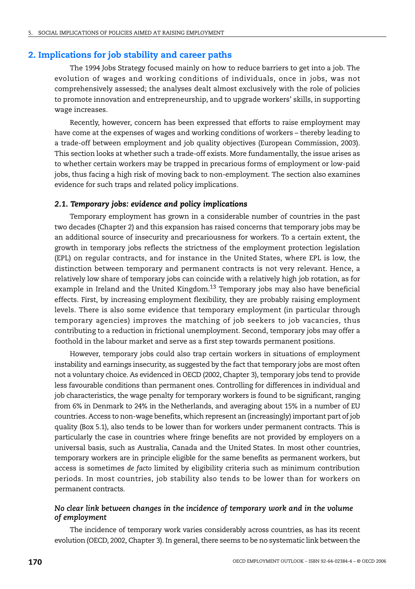# **2. Implications for job stability and career paths**

The 1994 Jobs Strategy focused mainly on how to reduce barriers to get into a job. The evolution of wages and working conditions of individuals, once in jobs, was not comprehensively assessed; the analyses dealt almost exclusively with the role of policies to promote innovation and entrepreneurship, and to upgrade workers' skills, in supporting wage increases.

Recently, however, concern has been expressed that efforts to raise employment may have come at the expenses of wages and working conditions of workers – thereby leading to a trade-off between employment and job quality objectives (European Commission, 2003). This section looks at whether such a trade-off exists. More fundamentally, the issue arises as to whether certain workers may be trapped in precarious forms of employment or low-paid jobs, thus facing a high risk of moving back to non-employment. The section also examines evidence for such traps and related policy implications.

#### *2.1. Temporary jobs: evidence and policy implications*

Temporary employment has grown in a considerable number of countries in the past two decades (Chapter 2) and this expansion has raised concerns that temporary jobs may be an additional source of insecurity and precariousness for workers. To a certain extent, the growth in temporary jobs reflects the strictness of the employment protection legislation (EPL) on regular contracts, and for instance in the United States, where EPL is low, the distinction between temporary and permanent contracts is not very relevant. Hence, a relatively low share of temporary jobs can coincide with a relatively high job rotation, as for example in Ireland and the United Kingdom.<sup>13</sup> Temporary jobs may also have beneficial effects. First, by increasing employment flexibility, they are probably raising employment levels. There is also some evidence that temporary employment (in particular through temporary agencies) improves the matching of job seekers to job vacancies, thus contributing to a reduction in frictional unemployment. Second, temporary jobs may offer a foothold in the labour market and serve as a first step towards permanent positions.

However, temporary jobs could also trap certain workers in situations of employment instability and earnings insecurity, as suggested by the fact that temporary jobs are most often not a voluntary choice. As evidenced in OECD (2002, Chapter 3), temporary jobs tend to provide less favourable conditions than permanent ones. Controlling for differences in individual and job characteristics, the wage penalty for temporary workers is found to be significant, ranging from 6% in Denmark to 24% in the Netherlands, and averaging about 15% in a number of EU countries. Access to non-wage benefits, which represent an (increasingly) important part of job quality (Box 5.1), also tends to be lower than for workers under permanent contracts. This is particularly the case in countries where fringe benefits are not provided by employers on a universal basis, such as Australia, Canada and the United States. In most other countries, temporary workers are in principle eligible for the same benefits as permanent workers, but access is sometimes *de facto* limited by eligibility criteria such as minimum contribution periods. In most countries, job stability also tends to be lower than for workers on permanent contracts.

## *No clear link between changes in the incidence of temporary work and in the volume of employment*

The incidence of temporary work varies considerably across countries, as has its recent evolution (OECD, 2002, Chapter 3). In general, there seems to be no systematic link between the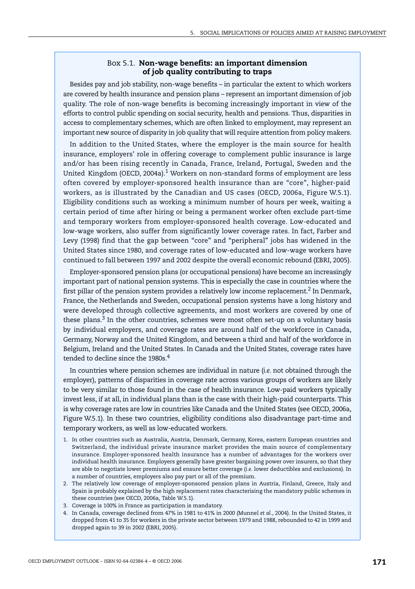# Box 5.1. **Non-wage benefits: an important dimension of job quality contributing to traps**

Besides pay and job stability, non-wage benefits – in particular the extent to which workers are covered by health insurance and pension plans – represent an important dimension of job quality. The role of non-wage benefits is becoming increasingly important in view of the efforts to control public spending on social security, health and pensions. Thus, disparities in access to complementary schemes, which are often linked to employment, may represent an important new source of disparity in job quality that will require attention from policy makers.

In addition to the United States, where the employer is the main source for health insurance, employers' role in offering coverage to complement public insurance is large and/or has been rising recently in Canada, France, Ireland, Portugal, Sweden and the United Kingdom (OECD,  $2004a$ ).<sup>1</sup> Workers on non-standard forms of employment are less often covered by employer-sponsored health insurance than are "core", higher-paid workers, as is illustrated by the Canadian and US cases (OECD, 2006a, Figure W.5.1). Eligibility conditions such as working a minimum number of hours per week, waiting a certain period of time after hiring or being a permanent worker often exclude part-time and temporary workers from employer-sponsored health coverage. Low-educated and low-wage workers, also suffer from significantly lower coverage rates. In fact, Farber and Levy (1998) find that the gap between "core" and "peripheral" jobs has widened in the United States since 1980, and coverage rates of low-educated and low-wage workers have continued to fall between 1997 and 2002 despite the overall economic rebound (EBRI, 2005).

Employer-sponsored pension plans (or occupational pensions) have become an increasingly important part of national pension systems. This is especially the case in countries where the first pillar of the pension system provides a relatively low income replacement.<sup>2</sup> In Denmark, France, the Netherlands and Sweden, occupational pension systems have a long history and were developed through collective agreements, and most workers are covered by one of these plans. $3$  In the other countries, schemes were most often set-up on a voluntary basis by individual employers, and coverage rates are around half of the workforce in Canada, Germany, Norway and the United Kingdom, and between a third and half of the workforce in Belgium, Ireland and the United States. In Canada and the United States, coverage rates have tended to decline since the 1980s.<sup>4</sup>

In countries where pension schemes are individual in nature (*i.e.* not obtained through the employer), patterns of disparities in coverage rate across various groups of workers are likely to be very similar to those found in the case of health insurance. Low-paid workers typically invest less, if at all, in individual plans than is the case with their high-paid counterparts. This is why coverage rates are low in countries like Canada and the United States (see OECD, 2006a, Figure W.5.1). In these two countries, eligibility conditions also disadvantage part-time and temporary workers, as well as low-educated workers.

- 1. In other countries such as Australia, Austria, Denmark, Germany, Korea, eastern European countries and Switzerland, the individual private insurance market provides the main source of complementary insurance. Employer-sponsored health insurance has a number of advantages for the workers over individual health insurance. Employers generally have greater bargaining power over insurers, so that they are able to negotiate lower premiums and ensure better coverage (*i.e.* lower deductibles and exclusions). In a number of countries, employers also pay part or all of the premium.
- 2. The relatively low coverage of employer-sponsored pension plans in Austria, Finland, Greece, Italy and Spain is probably explained by the high replacement rates characterising the mandatory public schemes in these countries (see OECD, 2006a, Table W.5.1).
- 3. Coverage is 100% in France as participation is mandatory.
- 4. In Canada, coverage declined from 47% in 1981 to 41% in 2000 (Munnel *et al.*, 2004). In the United States, it dropped from 41 to 35 for workers in the private sector between 1979 and 1988, rebounded to 42 in 1999 and dropped again to 39 in 2002 (EBRI, 2005).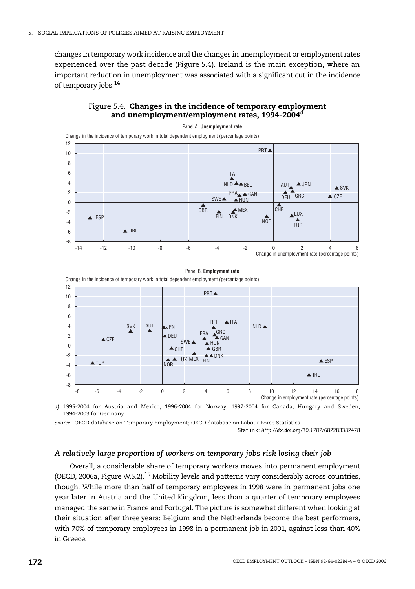changes in temporary work incidence and the changes in unemployment or employment rates experienced over the past decade (Figure 5.4). Ireland is the main exception, where an important reduction in unemployment was associated with a significant cut in the incidence of temporary jobs.14





#### Panel B. **Employment rate**

Change in the incidence of temporary work in total dependent employment (percentage points)



*a)* 1995-2004 for Austria and Mexico; 1996-2004 for Norway; 1997-2004 for Canada, Hungary and Sweden; 1994-2003 for Germany.

*Source:* OECD database on Temporary Employment; OECD database on Labour Force Statistics.

Statlink: *http://dx.doi.org/10.1787/*682283382478

# *A relatively large proportion of workers on temporary jobs risk losing their job*

Overall, a considerable share of temporary workers moves into permanent employment (OECD, 2006a, Figure W.5.2).<sup>15</sup> Mobility levels and patterns vary considerably across countries, though. While more than half of temporary employees in 1998 were in permanent jobs one year later in Austria and the United Kingdom, less than a quarter of temporary employees managed the same in France and Portugal. The picture is somewhat different when looking at their situation after three years: Belgium and the Netherlands become the best performers, with 70% of temporary employees in 1998 in a permanent job in 2001, against less than 40% in Greece.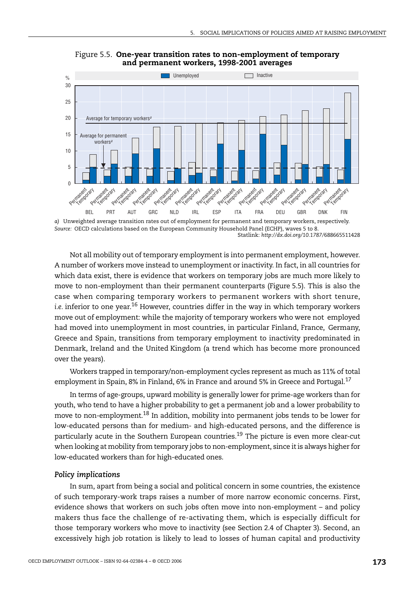

Figure 5.5. **One-year transition rates to non-employment of temporary and permanent workers, 1998-2001 averages**

*a)* Unweighted average transition rates out of employment for permanent and temporary workers, respectively. *Source:* OECD calculations based on the European Community Household Panel (ECHP), waves 5 to 8. Statlink: *http://dx.doi.org/10.1787/*688665511428

Not all mobility out of temporary employment is into permanent employment, however. A number of workers move instead to unemployment or inactivity. In fact, in all countries for which data exist, there is evidence that workers on temporary jobs are much more likely to move to non-employment than their permanent counterparts (Figure 5.5). This is also the case when comparing temporary workers to permanent workers with short tenure, *i.e.* inferior to one year.16 However, countries differ in the way in which temporary workers move out of employment: while the majority of temporary workers who were not employed had moved into unemployment in most countries, in particular Finland, France, Germany, Greece and Spain, transitions from temporary employment to inactivity predominated in Denmark, Ireland and the United Kingdom (a trend which has become more pronounced over the years).

Workers trapped in temporary/non-employment cycles represent as much as 11% of total employment in Spain, 8% in Finland, 6% in France and around 5% in Greece and Portugal.<sup>17</sup>

In terms of age-groups, upward mobility is generally lower for prime-age workers than for youth, who tend to have a higher probability to get a permanent job and a lower probability to move to non-employment.<sup>18</sup> In addition, mobility into permanent jobs tends to be lower for low-educated persons than for medium- and high-educated persons, and the difference is particularly acute in the Southern European countries.<sup>19</sup> The picture is even more clear-cut when looking at mobility from temporary jobs to non-employment, since it is always higher for low-educated workers than for high-educated ones.

#### *Policy implications*

In sum, apart from being a social and political concern in some countries, the existence of such temporary-work traps raises a number of more narrow economic concerns. First, evidence shows that workers on such jobs often move into non-employment – and policy makers thus face the challenge of re-activating them, which is especially difficult for those temporary workers who move to inactivity (see Section 2.4 of Chapter 3). Second, an excessively high job rotation is likely to lead to losses of human capital and productivity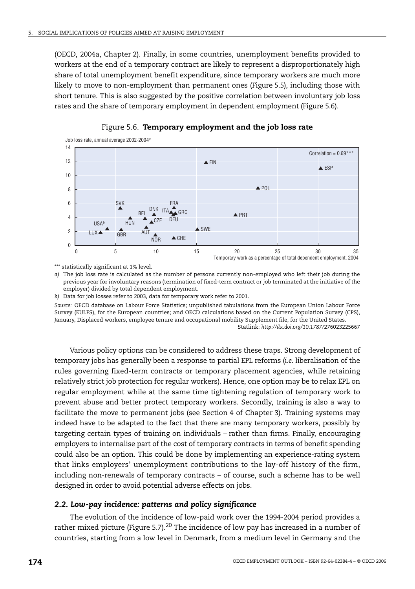(OECD, 2004a, Chapter 2). Finally, in some countries, unemployment benefits provided to workers at the end of a temporary contract are likely to represent a disproportionately high share of total unemployment benefit expenditure, since temporary workers are much more likely to move to non-employment than permanent ones (Figure 5.5), including those with short tenure. This is also suggested by the positive correlation between involuntary job loss rates and the share of temporary employment in dependent employment (Figure 5.6).





\*\*\* statistically significant at 1% level.

*a)* The job loss rate is calculated as the number of persons currently non-employed who left their job during the previous year for involuntary reasons (termination of fixed-term contract or job terminated at the initiative of the employer) divided by total dependent employment.

*b)* Data for job losses refer to 2003, data for temporary work refer to 2001.

*Source:* OECD database on Labour Force Statistics; unpublished tabulations from the European Union Labour Force Survey (EULFS), for the European countries; and OECD calculations based on the Current Population Survey (CPS), January, Displaced workers, employee tenure and occupational mobility Supplement file, for the United States. Statlink: *http://dx.doi.org/10.1787/*276023225667

Various policy options can be considered to address these traps. Strong development of temporary jobs has generally been a response to partial EPL reforms (*i.e.* liberalisation of the rules governing fixed-term contracts or temporary placement agencies, while retaining relatively strict job protection for regular workers). Hence, one option may be to relax EPL on regular employment while at the same time tightening regulation of temporary work to prevent abuse and better protect temporary workers. Secondly, training is also a way to facilitate the move to permanent jobs (see Section 4 of Chapter 3). Training systems may indeed have to be adapted to the fact that there are many temporary workers, possibly by targeting certain types of training on individuals – rather than firms. Finally, encouraging employers to internalise part of the cost of temporary contracts in terms of benefit spending could also be an option. This could be done by implementing an experience-rating system that links employers' unemployment contributions to the lay-off history of the firm, including non-renewals of temporary contracts – of course, such a scheme has to be well designed in order to avoid potential adverse effects on jobs.

### *2.2. Low-pay incidence: patterns and policy significance*

The evolution of the incidence of low-paid work over the 1994-2004 period provides a rather mixed picture (Figure 5.7).<sup>20</sup> The incidence of low pay has increased in a number of countries, starting from a low level in Denmark, from a medium level in Germany and the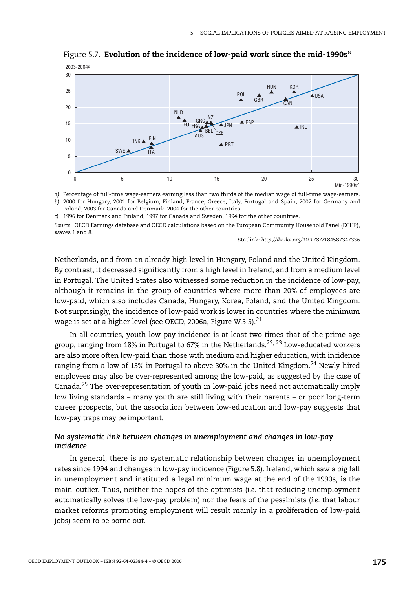

Figure 5.7. **Evolution of the incidence of low-paid work since the mid-1990s***<sup>a</sup>*

*a)* Percentage of full-time wage-earners earning less than two thirds of the median wage of full-time wage-earners. *b)* 2000 for Hungary, 2001 for Belgium, Finland, France, Greece, Italy, Portugal and Spain, 2002 for Germany and Poland, 2003 for Canada and Denmark, 2004 for the other countries.

*c)* 1996 for Denmark and Finland, 1997 for Canada and Sweden, 1994 for the other countries.

*Source:* OECD Earnings database and OECD calculations based on the European Community Household Panel (ECHP), waves 1 and 8.

Statlink: *http://dx.doi.org/10.1787/*184587347336

Netherlands, and from an already high level in Hungary, Poland and the United Kingdom. By contrast, it decreased significantly from a high level in Ireland, and from a medium level in Portugal. The United States also witnessed some reduction in the incidence of low-pay, although it remains in the group of countries where more than 20% of employees are low-paid, which also includes Canada, Hungary, Korea, Poland, and the United Kingdom. Not surprisingly, the incidence of low-paid work is lower in countries where the minimum wage is set at a higher level (see OECD, 2006a, Figure W.5.5).<sup>21</sup>

In all countries, youth low-pay incidence is at least two times that of the prime-age group, ranging from 18% in Portugal to 67% in the Netherlands.<sup>22, 23</sup> Low-educated workers are also more often low-paid than those with medium and higher education, with incidence ranging from a low of 13% in Portugal to above 30% in the United Kingdom.24 Newly-hired employees may also be over-represented among the low-paid, as suggested by the case of Canada.25 The over-representation of youth in low-paid jobs need not automatically imply low living standards – many youth are still living with their parents – or poor long-term career prospects, but the association between low-education and low-pay suggests that low-pay traps may be important.

# *No systematic link between changes in unemployment and changes in low-pay incidence*

In general, there is no systematic relationship between changes in unemployment rates since 1994 and changes in low-pay incidence (Figure 5.8). Ireland, which saw a big fall in unemployment and instituted a legal minimum wage at the end of the 1990s, is the main outlier. Thus, neither the hopes of the optimists (*i.e.* that reducing unemployment automatically solves the low-pay problem) nor the fears of the pessimists (*i.e.* that labour market reforms promoting employment will result mainly in a proliferation of low-paid jobs) seem to be borne out.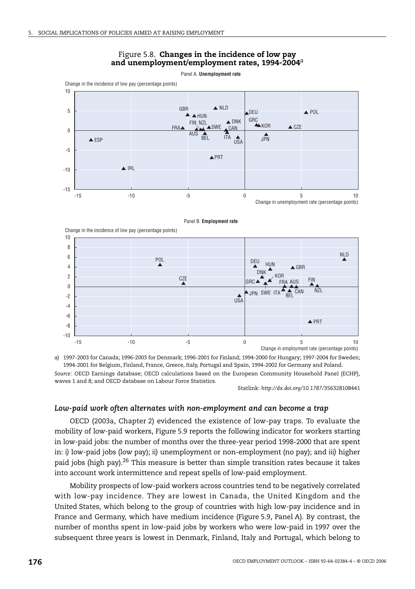

# Figure 5.8. **Changes in the incidence of low pay and unemployment/employment rates, 1994-2004***<sup>a</sup>*

Panel B. **Employment rate**





Statlink: *http://dx.doi.org/10.1787/*356328108441

#### *Low-paid work often alternates with non-employment and can become a trap*

OECD (2003a, Chapter 2) evidenced the existence of low-pay traps. To evaluate the mobility of low-paid workers, Figure 5.9 reports the following indicator for workers starting in low-paid jobs: the number of months over the three-year period 1998-2000 that are spent in: *i)* low-paid jobs (low pay); *ii)* unemployment or non-employment (no pay); and *iii)* higher paid jobs (high pay).26 This measure is better than simple transition rates because it takes into account work intermittence and repeat spells of low-paid employment.

Mobility prospects of low-paid workers across countries tend to be negatively correlated with low-pay incidence. They are lowest in Canada, the United Kingdom and the United States, which belong to the group of countries with high low-pay incidence and in France and Germany, which have medium incidence (Figure 5.9, Panel A). By contrast, the number of months spent in low-paid jobs by workers who were low-paid in 1997 over the subsequent three years is lowest in Denmark, Finland, Italy and Portugal, which belong to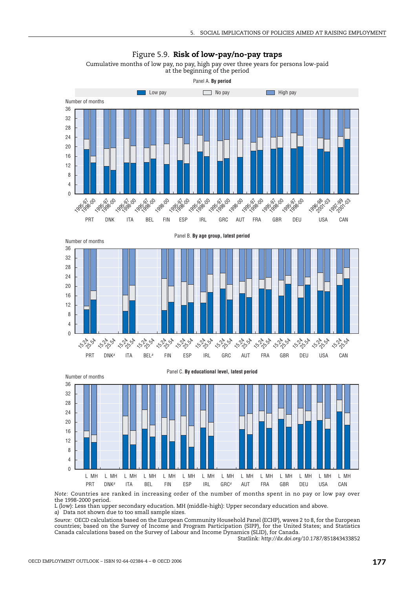

Figure 5.9. **Risk of low-pay/no-pay traps**

Cumulative months of low pay, no pay, high pay over three years for persons low-paid

*Note:* Countries are ranked in increasing order of the number of months spent in no pay or low pay over the 1998-2000 period. PRT DNK*<sup>a</sup>* ITA BEL FIN ESP IRL GRC*<sup>a</sup>* AUT FRA GBR DEU USA

L MH L MH L MH L MH L MH L MH L MH L MH L MH L MH L MH L MH L MH

L (low): Less than upper secondary education. MH (middle-high): Upper secondary education and above. *a)* Data not shown due to too small sample sizes.

Source: OECD calculations based on the European Community Household Panel (ECHP), waves 2 to 8, for the European<br>countries; based on the Survey of Income and Program Participation (SIPP), for the United States; and Statis Canada calculations based on the Survey of Labour and Income Dynamics (SLID), for Canada.

Statlink: *http://dx.doi.org/10.1787/*851843433852

CAN L MH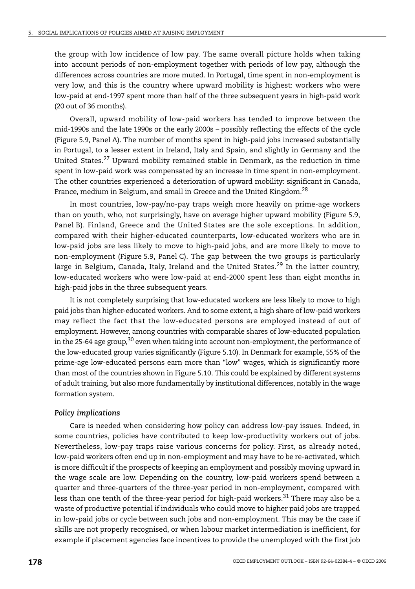the group with low incidence of low pay. The same overall picture holds when taking into account periods of non-employment together with periods of low pay, although the differences across countries are more muted. In Portugal, time spent in non-employment is very low, and this is the country where upward mobility is highest: workers who were low-paid at end-1997 spent more than half of the three subsequent years in high-paid work (20 out of 36 months).

Overall, upward mobility of low-paid workers has tended to improve between the mid-1990s and the late 1990s or the early 2000s – possibly reflecting the effects of the cycle (Figure 5.9, Panel A). The number of months spent in high-paid jobs increased substantially in Portugal, to a lesser extent in Ireland, Italy and Spain, and slightly in Germany and the United States.27 Upward mobility remained stable in Denmark, as the reduction in time spent in low-paid work was compensated by an increase in time spent in non-employment. The other countries experienced a deterioration of upward mobility: significant in Canada, France, medium in Belgium, and small in Greece and the United Kingdom.<sup>28</sup>

In most countries, low-pay/no-pay traps weigh more heavily on prime-age workers than on youth, who, not surprisingly, have on average higher upward mobility (Figure 5.9, Panel B). Finland, Greece and the United States are the sole exceptions. In addition, compared with their higher-educated counterparts, low-educated workers who are in low-paid jobs are less likely to move to high-paid jobs, and are more likely to move to non-employment (Figure 5.9, Panel C). The gap between the two groups is particularly large in Belgium, Canada, Italy, Ireland and the United States.<sup>29</sup> In the latter country, low-educated workers who were low-paid at end-2000 spent less than eight months in high-paid jobs in the three subsequent years.

It is not completely surprising that low-educated workers are less likely to move to high paid jobs than higher-educated workers. And to some extent, a high share of low-paid workers may reflect the fact that the low-educated persons are employed instead of out of employment. However, among countries with comparable shares of low-educated population in the 25-64 age group,<sup>30</sup> even when taking into account non-employment, the performance of the low-educated group varies significantly (Figure 5.10). In Denmark for example, 55% of the prime-age low-educated persons earn more than "low" wages, which is significantly more than most of the countries shown in Figure 5.10. This could be explained by different systems of adult training, but also more fundamentally by institutional differences, notably in the wage formation system.

#### *Policy implications*

Care is needed when considering how policy can address low-pay issues. Indeed, in some countries, policies have contributed to keep low-productivity workers out of jobs. Nevertheless, low-pay traps raise various concerns for policy. First, as already noted, low-paid workers often end up in non-employment and may have to be re-activated, which is more difficult if the prospects of keeping an employment and possibly moving upward in the wage scale are low. Depending on the country, low-paid workers spend between a quarter and three-quarters of the three-year period in non-employment, compared with less than one tenth of the three-year period for high-paid workers.<sup>31</sup> There may also be a waste of productive potential if individuals who could move to higher paid jobs are trapped in low-paid jobs or cycle between such jobs and non-employment. This may be the case if skills are not properly recognised, or when labour market intermediation is inefficient, for example if placement agencies face incentives to provide the unemployed with the first job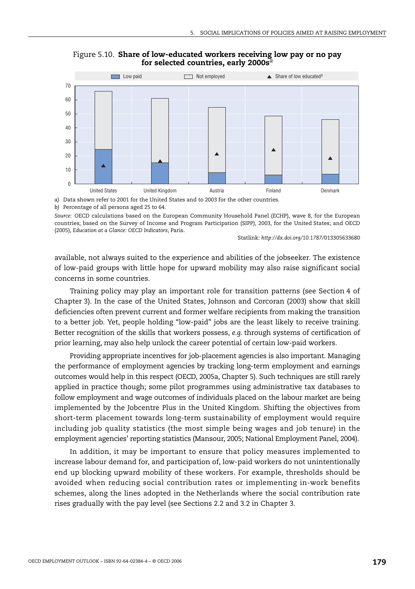

Figure 5.10. **Share of low-educated workers receiving low pay or no pay for selected countries, early 2000s***<sup>a</sup>*

*a)* Data shown refer to 2001 for the United States and to 2003 for the other countries.

*b)* Percentage of all persons aged 25 to 64.

*Source:* OECD calculations based on the European Community Household Panel (ECHP), wave 8, for the European countries; based on the Survey of Income and Program Participation (SIPP), 2003, for the United States; and OECD (2005), *Education at a Glance: OECD Indicators*, Paris.

Statlink: *http://dx.doi.org/10.1787/*013305633680

available, not always suited to the experience and abilities of the jobseeker. The existence of low-paid groups with little hope for upward mobility may also raise significant social concerns in some countries.

Training policy may play an important role for transition patterns (see Section 4 of Chapter 3). In the case of the United States, Johnson and Corcoran (2003) show that skill deficiencies often prevent current and former welfare recipients from making the transition to a better job. Yet, people holding "low-paid" jobs are the least likely to receive training. Better recognition of the skills that workers possess, *e.g.* through systems of certification of prior learning, may also help unlock the career potential of certain low-paid workers.

Providing appropriate incentives for job-placement agencies is also important. Managing the performance of employment agencies by tracking long-term employment and earnings outcomes would help in this respect (OECD, 2005a, Chapter 5). Such techniques are still rarely applied in practice though; some pilot programmes using administrative tax databases to follow employment and wage outcomes of individuals placed on the labour market are being implemented by the Jobcentre Plus in the United Kingdom. Shifting the objectives from short-term placement towards long-term sustainability of employment would require including job quality statistics (the most simple being wages and job tenure) in the employment agencies' reporting statistics (Mansour, 2005; National Employment Panel, 2004).

In addition, it may be important to ensure that policy measures implemented to increase labour demand for, and participation of, low-paid workers do not unintentionally end up blocking upward mobility of these workers. For example, thresholds should be avoided when reducing social contribution rates or implementing in-work benefits schemes, along the lines adopted in the Netherlands where the social contribution rate rises gradually with the pay level (see Sections 2.2 and 3.2 in Chapter 3.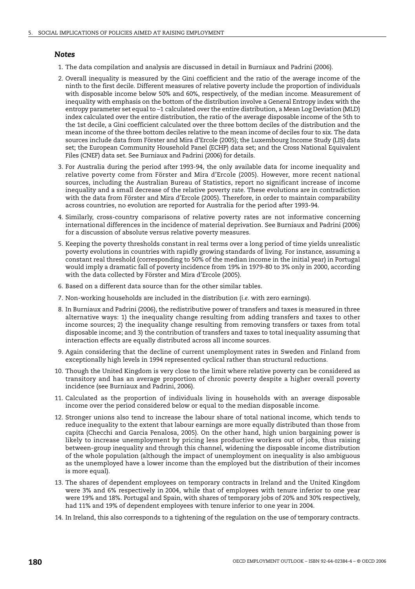#### *Notes*

- 1. The data compilation and analysis are discussed in detail in Burniaux and Padrini (2006).
- 2. Overall inequality is measured by the Gini coefficient and the ratio of the average income of the ninth to the first decile. Different measures of relative poverty include the proportion of individuals with disposable income below 50% and 60%, respectively, of the median income. Measurement of inequality with emphasis on the bottom of the distribution involve a General Entropy index with the entropy parameter set equal to –1 calculated over the entire distribution, a Mean Log Deviation (MLD) index calculated over the entire distribution, the ratio of the average disposable income of the 5th to the 1st decile, a Gini coefficient calculated over the three bottom deciles of the distribution and the mean income of the three bottom deciles relative to the mean income of deciles four to six. The data sources include data from Förster and Mira d'Ercole (2005); the Luxembourg Income Study (LIS) data set; the European Community Household Panel (ECHP) data set; and the Cross National Equivalent Files (CNEF) data set. See Burniaux and Padrini (2006) for details.
- 3. For Australia during the period after 1993-94, the only available data for income inequality and relative poverty come from Förster and Mira d'Ercole (2005). However, more recent national sources, including the Australian Bureau of Statistics, report no significant increase of income inequality and a small decrease of the relative poverty rate. These evolutions are in contradiction with the data from Förster and Mira d'Ercole (2005). Therefore, in order to maintain comparability across countries, no evolution are reported for Australia for the period after 1993-94.
- 4. Similarly, cross-country comparisons of relative poverty rates are not informative concerning international differences in the incidence of material deprivation. See Burniaux and Padrini (2006) for a discussion of absolute versus relative poverty measures.
- 5. Keeping the poverty thresholds constant in real terms over a long period of time yields unrealistic poverty evolutions in countries with rapidly growing standards of living. For instance, assuming a constant real threshold (corresponding to 50% of the median income in the initial year) in Portugal would imply a dramatic fall of poverty incidence from 19% in 1979-80 to 3% only in 2000, according with the data collected by Förster and Mira d'Ercole (2005).
- 6. Based on a different data source than for the other similar tables.
- 7. Non-working households are included in the distribution (*i.e.* with zero earnings).
- 8. In Burniaux and Padrini (2006), the redistributive power of transfers and taxes is measured in three alternative ways: 1) the inequality change resulting from adding transfers and taxes to other income sources; 2) the inequality change resulting from removing transfers or taxes from total disposable income; and 3) the contribution of transfers and taxes to total inequality assuming that interaction effects are equally distributed across all income sources.
- 9. Again considering that the decline of current unemployment rates in Sweden and Finland from exceptionally high levels in 1994 represented cyclical rather than structural reductions.
- 10. Though the United Kingdom is very close to the limit where relative poverty can be considered as transitory and has an average proportion of chronic poverty despite a higher overall poverty incidence (see Burniaux and Padrini, 2006).
- 11. Calculated as the proportion of individuals living in households with an average disposable income over the period considered below or equal to the median disposable income.
- 12. Stronger unions also tend to increase the labour share of total national income, which tends to reduce inequality to the extent that labour earnings are more equally distributed than those from capita (Checchi and Garcia Penalosa, 2005). On the other hand, high union bargaining power is likely to increase unemployment by pricing less productive workers out of jobs, thus raising between-group inequality and through this channel, widening the disposable income distribution of the whole population (although the impact of unemployment on inequality is also ambiguous as the unemployed have a lower income than the employed but the distribution of their incomes is more equal).
- 13. The shares of dependent employees on temporary contracts in Ireland and the United Kingdom were 3% and 6% respectively in 2004, while that of employees with tenure inferior to one year were 19% and 18%. Portugal and Spain, with shares of temporary jobs of 20% and 30% respectively, had 11% and 19% of dependent employees with tenure inferior to one year in 2004.
- 14. In Ireland, this also corresponds to a tightening of the regulation on the use of temporary contracts.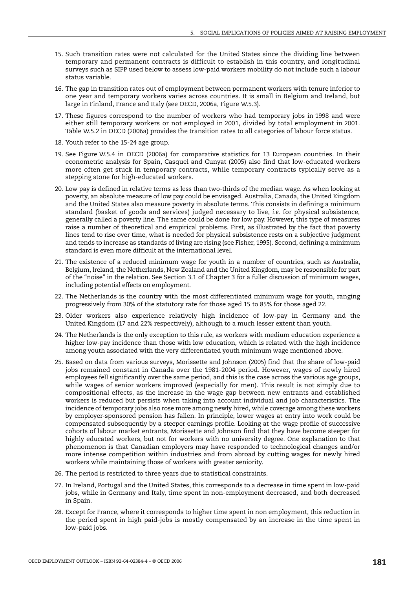- 15. Such transition rates were not calculated for the United States since the dividing line between temporary and permanent contracts is difficult to establish in this country, and longitudinal surveys such as SIPP used below to assess low-paid workers mobility do not include such a labour status variable.
- 16. The gap in transition rates out of employment between permanent workers with tenure inferior to one year and temporary workers varies across countries. It is small in Belgium and Ireland, but large in Finland, France and Italy (see OECD, 2006a, Figure W.5.3).
- 17. These figures correspond to the number of workers who had temporary jobs in 1998 and were either still temporary workers or not employed in 2001, divided by total employment in 2001. Table W.5.2 in OECD (2006a) provides the transition rates to all categories of labour force status.
- 18. Youth refer to the 15-24 age group.
- 19. See Figure W.5.4 in OECD (2006a) for comparative statistics for 13 European countries. In their econometric analysis for Spain, Casquel and Cunyat (2005) also find that low-educated workers more often get stuck in temporary contracts, while temporary contracts typically serve as a stepping stone for high-educated workers.
- 20. Low pay is defined in relative terms as less than two-thirds of the median wage. As when looking at poverty, an absolute measure of low pay could be envisaged. Australia, Canada, the United Kingdom and the United States also measure poverty in absolute terms. This consists in defining a minimum standard (basket of goods and services) judged necessary to live, *i.e.* for physical subsistence, generally called a poverty line. The same could be done for low pay. However, this type of measures raise a number of theoretical and empirical problems. First, as illustrated by the fact that poverty lines tend to rise over time, what is needed for physical subsistence rests on a subjective judgment and tends to increase as standards of living are rising (see Fisher, 1995). Second, defining a minimum standard is even more difficult at the international level.
- 21. The existence of a reduced minimum wage for youth in a number of countries, such as Australia, Belgium, Ireland, the Netherlands, New Zealand and the United Kingdom, may be responsible for part of the "noise" in the relation. See Section 3.1 of Chapter 3 for a fuller discussion of minimum wages, including potential effects on employment.
- 22. The Netherlands is the country with the most differentiated minimum wage for youth, ranging progressively from 30% of the statutory rate for those aged 15 to 85% for those aged 22.
- 23. Older workers also experience relatively high incidence of low-pay in Germany and the United Kingdom (17 and 22% respectively), although to a much lesser extent than youth.
- 24. The Netherlands is the only exception to this rule, as workers with medium education experience a higher low-pay incidence than those with low education, which is related with the high incidence among youth associated with the very differentiated youth minimum wage mentioned above.
- 25. Based on data from various surveys, Morissette and Johnson (2005) find that the share of low-paid jobs remained constant in Canada over the 1981-2004 period. However, wages of newly hired employees fell significantly over the same period, and this is the case across the various age groups, while wages of senior workers improved (especially for men). This result is not simply due to compositional effects, as the increase in the wage gap between new entrants and established workers is reduced but persists when taking into account individual and job characteristics. The incidence of temporary jobs also rose more among newly hired, while coverage among these workers by employer-sponsored pension has fallen. In principle, lower wages at entry into work could be compensated subsequently by a steeper earnings profile. Looking at the wage profile of successive cohorts of labour market entrants, Morissette and Johnson find that they have become steeper for highly educated workers, but not for workers with no university degree. One explanation to that phenomenon is that Canadian employers may have responded to technological changes and/or more intense competition within industries and from abroad by cutting wages for newly hired workers while maintaining those of workers with greater seniority.
- 26. The period is restricted to three years due to statistical constraints.
- 27. In Ireland, Portugal and the United States, this corresponds to a decrease in time spent in low-paid jobs, while in Germany and Italy, time spent in non-employment decreased, and both decreased in Spain.
- 28. Except for France, where it corresponds to higher time spent in non employment, this reduction in the period spent in high paid-jobs is mostly compensated by an increase in the time spent in low-paid jobs.